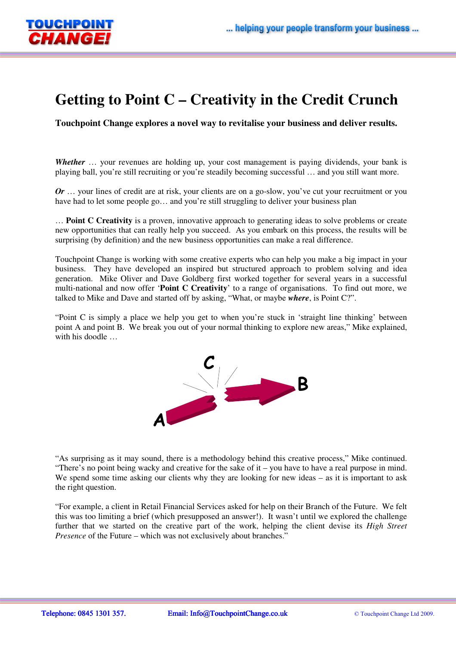

## **Getting to Point C – Creativity in the Credit Crunch**

**Touchpoint Change explores a novel way to revitalise your business and deliver results.** 

*Whether* ... your revenues are holding up, your cost management is paying dividends, your bank is playing ball, you're still recruiting or you're steadily becoming successful … and you still want more.

*Or* ... your lines of credit are at risk, your clients are on a go-slow, you've cut your recruitment or you have had to let some people go... and you're still struggling to deliver your business plan

… **Point C Creativity** is a proven, innovative approach to generating ideas to solve problems or create new opportunities that can really help you succeed. As you embark on this process, the results will be surprising (by definition) and the new business opportunities can make a real difference.

Touchpoint Change is working with some creative experts who can help you make a big impact in your business. They have developed an inspired but structured approach to problem solving and idea generation. Mike Oliver and Dave Goldberg first worked together for several years in a successful multi-national and now offer '**Point C Creativity**' to a range of organisations. To find out more, we talked to Mike and Dave and started off by asking, "What, or maybe *where*, is Point C?".

"Point C is simply a place we help you get to when you're stuck in 'straight line thinking' between point A and point B. We break you out of your normal thinking to explore new areas," Mike explained, with his doodle ...



"As surprising as it may sound, there is a methodology behind this creative process," Mike continued. "There's no point being wacky and creative for the sake of it – you have to have a real purpose in mind. We spend some time asking our clients why they are looking for new ideas – as it is important to ask the right question.

"For example, a client in Retail Financial Services asked for help on their Branch of the Future. We felt this was too limiting a brief (which presupposed an answer!). It wasn't until we explored the challenge further that we started on the creative part of the work, helping the client devise its *High Street Presence* of the Future – which was not exclusively about branches."